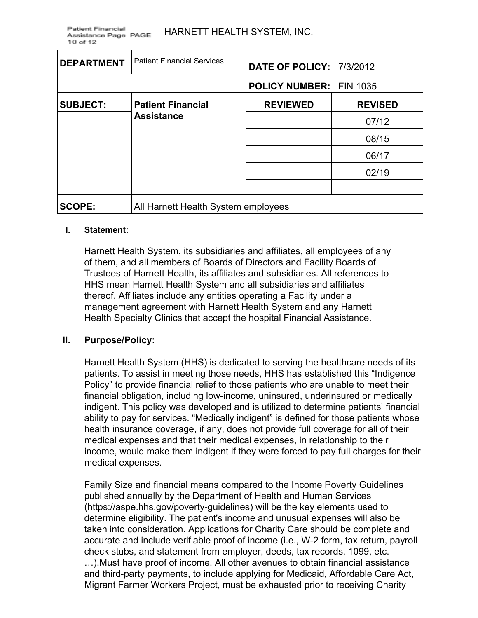| <b>DEPARTMENT</b> | <b>Patient Financial Services</b>             | <b>DATE OF POLICY: 7/3/2012</b> |                |
|-------------------|-----------------------------------------------|---------------------------------|----------------|
|                   |                                               | <b>POLICY NUMBER: FIN 1035</b>  |                |
| <b>SUBJECT:</b>   | <b>Patient Financial</b><br><b>Assistance</b> | <b>REVIEWED</b>                 | <b>REVISED</b> |
|                   |                                               |                                 | 07/12          |
|                   |                                               |                                 | 08/15          |
|                   |                                               |                                 | 06/17          |
|                   |                                               |                                 | 02/19          |
|                   |                                               |                                 |                |
| <b>SCOPE:</b>     | All Harnett Health System employees           |                                 |                |

#### **I. Statement:**

Harnett Health System, its subsidiaries and affiliates, all employees of any of them, and all members of Boards of Directors and Facility Boards of Trustees of Harnett Health, its affiliates and subsidiaries. All references to HHS mean Harnett Health System and all subsidiaries and affiliates thereof. Affiliates include any entities operating a Facility under a management agreement with Harnett Health System and any Harnett Health Specialty Clinics that accept the hospital Financial Assistance.

#### **II. Purpose/Policy:**

Harnett Health System (HHS) is dedicated to serving the healthcare needs of its patients. To assist in meeting those needs, HHS has established this "Indigence Policy" to provide financial relief to those patients who are unable to meet their financial obligation, including low-income, uninsured, underinsured or medically indigent. This policy was developed and is utilized to determine patients' financial ability to pay for services. "Medically indigent" is defined for those patients whose health insurance coverage, if any, does not provide full coverage for all of their medical expenses and that their medical expenses, in relationship to their income, would make them indigent if they were forced to pay full charges for their medical expenses.

Family Size and financial means compared to the Income Poverty Guidelines published annually by the Department of Health and Human Services (https://aspe.hhs.gov/poverty-guidelines) will be the key elements used to determine eligibility. The patient's income and unusual expenses will also be taken into consideration. Applications for Charity Care should be complete and accurate and include verifiable proof of income (i.e., W-2 form, tax return, payroll check stubs, and statement from employer, deeds, tax records, 1099, etc. …).Must have proof of income. All other avenues to obtain financial assistance and third-party payments, to include applying for Medicaid, Affordable Care Act, Migrant Farmer Workers Project, must be exhausted prior to receiving Charity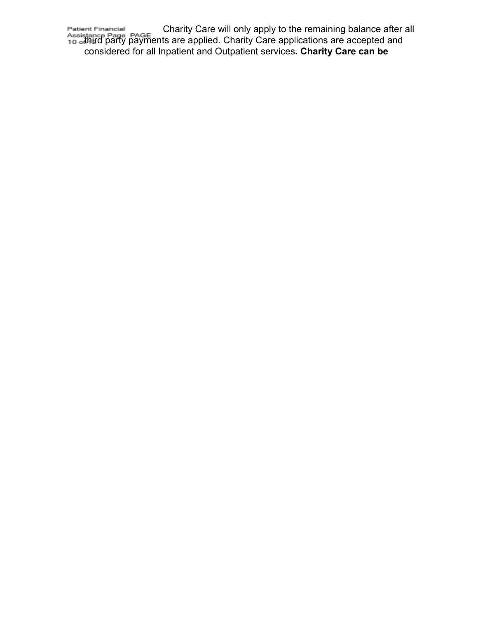Int Financial **Example 20** Charity Care will only apply to the remaining balance after all third party payments are applied. Charity Care applications are accepted and considered for all Inpatient and Outpatient services**. Charity Care can be**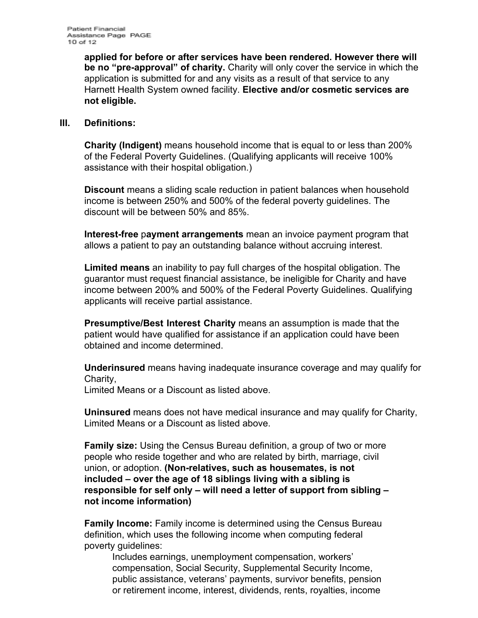**applied for before or after services have been rendered. However there will be no "pre-approval" of charity.** Charity will only cover the service in which the application is submitted for and any visits as a result of that service to any Harnett Health System owned facility. **Elective and/or cosmetic services are not eligible.**

#### **III. Definitions:**

**Charity (Indigent)** means household income that is equal to or less than 200% of the Federal Poverty Guidelines. (Qualifying applicants will receive 100% assistance with their hospital obligation.)

**Discount** means a sliding scale reduction in patient balances when household income is between 250% and 500% of the federal poverty guidelines. The discount will be between 50% and 85%.

**Interest-free** p**ayment arrangements** mean an invoice payment program that allows a patient to pay an outstanding balance without accruing interest.

**Limited means** an inability to pay full charges of the hospital obligation. The guarantor must request financial assistance, be ineligible for Charity and have income between 200% and 500% of the Federal Poverty Guidelines. Qualifying applicants will receive partial assistance.

**Presumptive/Best Interest Charity** means an assumption is made that the patient would have qualified for assistance if an application could have been obtained and income determined.

**Underinsured** means having inadequate insurance coverage and may qualify for Charity,

Limited Means or a Discount as listed above.

**Uninsured** means does not have medical insurance and may qualify for Charity, Limited Means or a Discount as listed above.

**Family size:** Using the Census Bureau definition, a group of two or more people who reside together and who are related by birth, marriage, civil union, or adoption. **(Non-relatives, such as housemates, is not included – over the age of 18 siblings living with a sibling is responsible for self only – will need a letter of support from sibling – not income information)**

**Family Income:** Family income is determined using the Census Bureau definition, which uses the following income when computing federal poverty guidelines:

Includes earnings, unemployment compensation, workers' compensation, Social Security, Supplemental Security Income, public assistance, veterans' payments, survivor benefits, pension or retirement income, interest, dividends, rents, royalties, income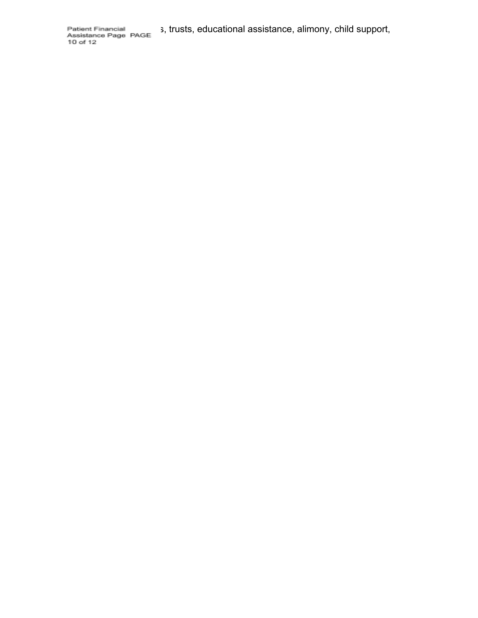Patient Financial 3, trusts, educational assistance, alimony, child support, Assistance Page PAGE 3, trusts, educational assistance, alimony, child support,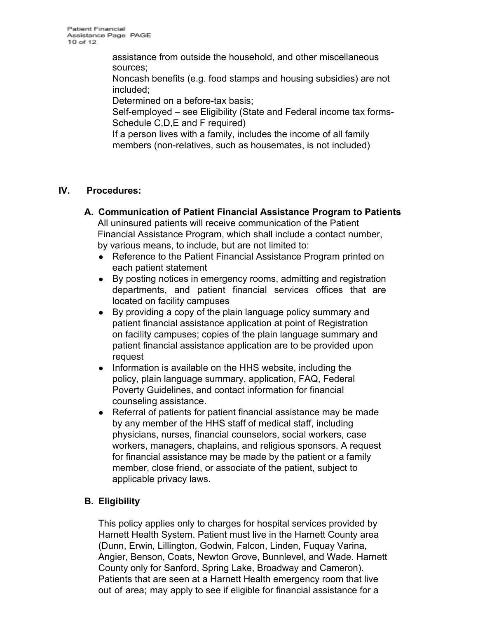assistance from outside the household, and other miscellaneous sources;

Noncash benefits (e.g. food stamps and housing subsidies) are not included;

Determined on a before-tax basis;

Self-employed – see Eligibility (State and Federal income tax forms-Schedule C, D, E and F required)

If a person lives with a family, includes the income of all family members (non-relatives, such as housemates, is not included)

## **IV. Procedures:**

- **A. Communication of Patient Financial Assistance Program to Patients** All uninsured patients will receive communication of the Patient Financial Assistance Program, which shall include a contact number, by various means, to include, but are not limited to:
	- Reference to the Patient Financial Assistance Program printed on each patient statement
	- By posting notices in emergency rooms, admitting and registration departments, and patient financial services offices that are located on facility campuses
	- By providing a copy of the plain language policy summary and patient financial assistance application at point of Registration on facility campuses; copies of the plain language summary and patient financial assistance application are to be provided upon request
	- Information is available on the HHS website, including the policy, plain language summary, application, FAQ, Federal Poverty Guidelines, and contact information for financial counseling assistance.
	- Referral of patients for patient financial assistance may be made by any member of the HHS staff of medical staff, including physicians, nurses, financial counselors, social workers, case workers, managers, chaplains, and religious sponsors. A request for financial assistance may be made by the patient or a family member, close friend, or associate of the patient, subject to applicable privacy laws.

# **B. Eligibility**

This policy applies only to charges for hospital services provided by Harnett Health System. Patient must live in the Harnett County area (Dunn, Erwin, Lillington, Godwin, Falcon, Linden, Fuquay Varina, Angier, Benson, Coats, Newton Grove, Bunnlevel, and Wade. Harnett County only for Sanford, Spring Lake, Broadway and Cameron). Patients that are seen at a Harnett Health emergency room that live out of area; may apply to see if eligible for financial assistance for a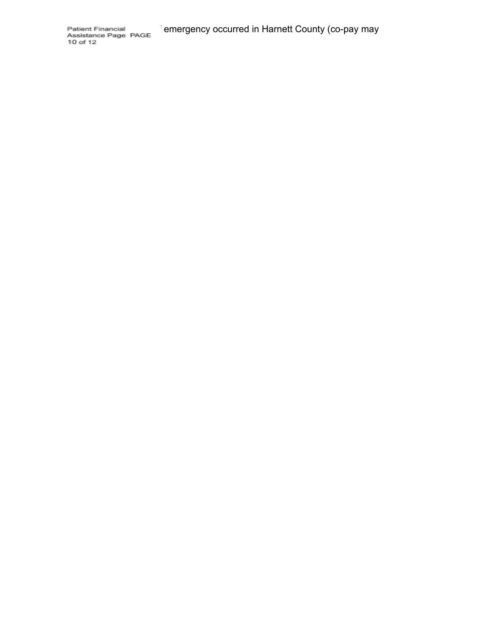Patient Financial emergency occurred in Harnett County (co-pay may<br>Assistance Page PAGE<br>10 of 12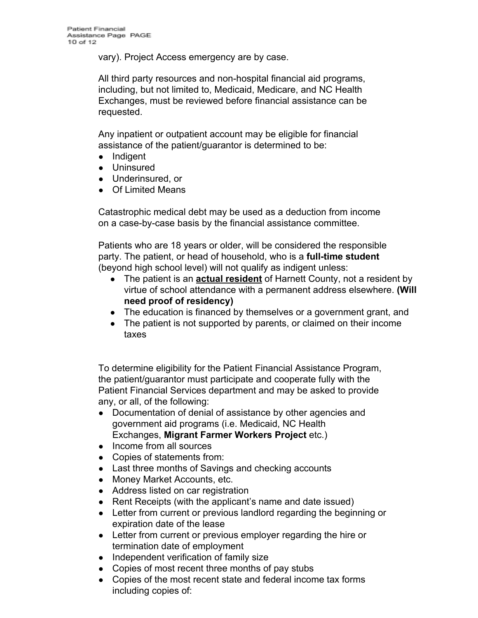vary). Project Access emergency are by case.

All third party resources and non-hospital financial aid programs, including, but not limited to, Medicaid, Medicare, and NC Health Exchanges, must be reviewed before financial assistance can be requested.

Any inpatient or outpatient account may be eligible for financial assistance of the patient/guarantor is determined to be:

- Indigent
- Uninsured
- Underinsured, or
- Of Limited Means

Catastrophic medical debt may be used as a deduction from income on a case-by-case basis by the financial assistance committee.

Patients who are 18 years or older, will be considered the responsible party. The patient, or head of household, who is a **full-time student** (beyond high school level) will not qualify as indigent unless:

- **●** The patient is an **actual resident** of Harnett County, not a resident by virtue of school attendance with a permanent address elsewhere. **(Will need proof of residency)**
- The education is financed by themselves or a government grant, and
- The patient is not supported by parents, or claimed on their income taxes

To determine eligibility for the Patient Financial Assistance Program, the patient/guarantor must participate and cooperate fully with the Patient Financial Services department and may be asked to provide any, or all, of the following:

- Documentation of denial of assistance by other agencies and government aid programs (i.e. Medicaid, NC Health Exchanges, **Migrant Farmer Workers Project** etc.)
- Income from all sources
- Copies of statements from:
- Last three months of Savings and checking accounts
- Money Market Accounts, etc.
- Address listed on car registration
- Rent Receipts (with the applicant's name and date issued)
- Letter from current or previous landlord regarding the beginning or expiration date of the lease
- Letter from current or previous employer regarding the hire or termination date of employment
- Independent verification of family size
- Copies of most recent three months of pay stubs
- Copies of the most recent state and federal income tax forms including copies of: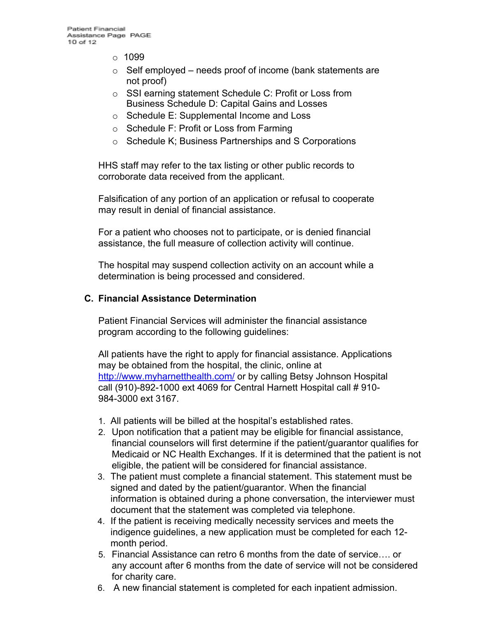- $\circ$  1099
- $\circ$  Self employed needs proof of income (bank statements are not proof)
- o SSI earning statement Schedule C: Profit or Loss from Business Schedule D: Capital Gains and Losses
- o Schedule E: Supplemental Income and Loss
- o Schedule F: Profit or Loss from Farming
- o Schedule K; Business Partnerships and S Corporations

HHS staff may refer to the tax listing or other public records to corroborate data received from the applicant.

Falsification of any portion of an application or refusal to cooperate may result in denial of financial assistance.

For a patient who chooses not to participate, or is denied financial assistance, the full measure of collection activity will continue.

The hospital may suspend collection activity on an account while a determination is being processed and considered.

#### **C. Financial Assistance Determination**

Patient Financial Services will administer the financial assistance program according to the following guidelines:

All patients have the right to apply for financial assistance. Applications may be obtained from the hospital, the clinic, online at <http://www.myharnetthealth.com/> or by calling Betsy Johnson Hospital call (910)-892-1000 ext 4069 for Central Harnett Hospital call # 910- 984-3000 ext 3167.

- 1. All patients will be billed at the hospital's established rates.
- 2. Upon notification that a patient may be eligible for financial assistance, financial counselors will first determine if the patient/guarantor qualifies for Medicaid or NC Health Exchanges. If it is determined that the patient is not eligible, the patient will be considered for financial assistance.
- 3. The patient must complete a financial statement. This statement must be signed and dated by the patient/guarantor. When the financial information is obtained during a phone conversation, the interviewer must document that the statement was completed via telephone.
- 4. If the patient is receiving medically necessity services and meets the indigence guidelines, a new application must be completed for each 12 month period.
- 5. Financial Assistance can retro 6 months from the date of service…. or any account after 6 months from the date of service will not be considered for charity care.
- 6. A new financial statement is completed for each inpatient admission.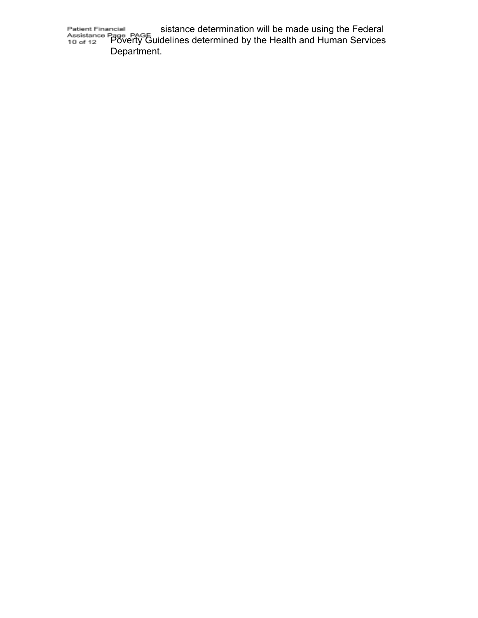Financial sistance determination will be made using the Federal Poverty Guidelines determined by the Health and Human Services Department.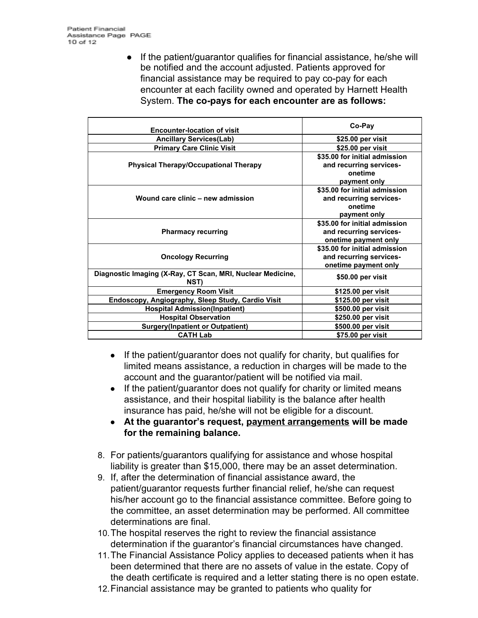**●** If the patient/guarantor qualifies for financial assistance, he/she will be notified and the account adjusted. Patients approved for financial assistance may be required to pay co-pay for each encounter at each facility owned and operated by Harnett Health System. **The co-pays for each encounter are as follows:**

| <b>Encounter-location of visit</b>                                 | Co-Pay                                                                                              |
|--------------------------------------------------------------------|-----------------------------------------------------------------------------------------------------|
| <b>Ancillary Services(Lab)</b>                                     | \$25.00 per visit                                                                                   |
| <b>Primary Care Clinic Visit</b>                                   | \$25.00 per visit                                                                                   |
| <b>Physical Therapy/Occupational Therapy</b>                       | \$35.00 for initial admission<br>and recurring services-<br>onetime                                 |
| Wound care clinic - new admission                                  | payment only<br>\$35.00 for initial admission<br>and recurring services-<br>onetime<br>payment only |
| <b>Pharmacy recurring</b>                                          | \$35.00 for initial admission<br>and recurring services-<br>onetime payment only                    |
| <b>Oncology Recurring</b>                                          | \$35.00 for initial admission<br>and recurring services-<br>onetime payment only                    |
| Diagnostic Imaging (X-Ray, CT Scan, MRI, Nuclear Medicine,<br>NST) | \$50.00 per visit                                                                                   |
| <b>Emergency Room Visit</b>                                        | \$125.00 per visit                                                                                  |
| Endoscopy, Angiography, Sleep Study, Cardio Visit                  | \$125.00 per visit                                                                                  |
| <b>Hospital Admission(Inpatient)</b>                               | \$500.00 per visit                                                                                  |
| <b>Hospital Observation</b>                                        | \$250.00 per visit                                                                                  |
| <b>Surgery(Inpatient or Outpatient)</b>                            | \$500.00 per visit                                                                                  |
| <b>CATH Lab</b>                                                    | \$75.00 per visit                                                                                   |

- If the patient/guarantor does not qualify for charity, but qualifies for limited means assistance, a reduction in charges will be made to the account and the guarantor/patient will be notified via mail.
- If the patient/guarantor does not qualify for charity or limited means assistance, and their hospital liability is the balance after health insurance has paid, he/she will not be eligible for a discount.
- **● At the guarantor's request, payment arrangements will be made for the remaining balance.**
- 8. For patients/guarantors qualifying for assistance and whose hospital liability is greater than \$15,000, there may be an asset determination.
- 9. If, after the determination of financial assistance award, the patient/guarantor requests further financial relief, he/she can request his/her account go to the financial assistance committee. Before going to the committee, an asset determination may be performed. All committee determinations are final.
- 10.The hospital reserves the right to review the financial assistance determination if the guarantor's financial circumstances have changed.
- 11.The Financial Assistance Policy applies to deceased patients when it has been determined that there are no assets of value in the estate. Copy of the death certificate is required and a letter stating there is no open estate.
- 12.Financial assistance may be granted to patients who quality for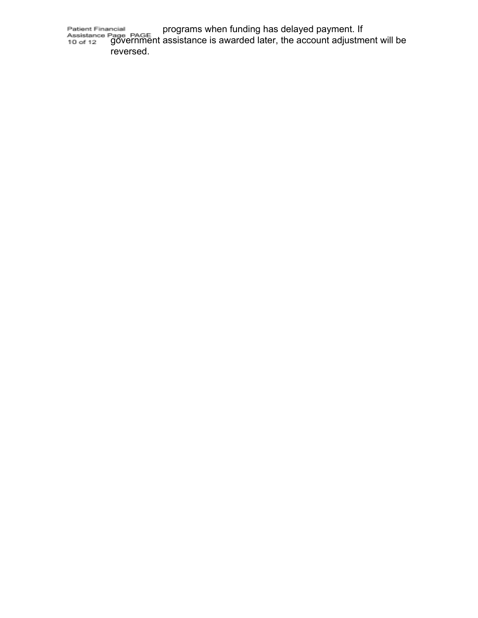ncial example programs when funding has delayed payment. If government assistance is awarded later, the account adjustment will be reversed.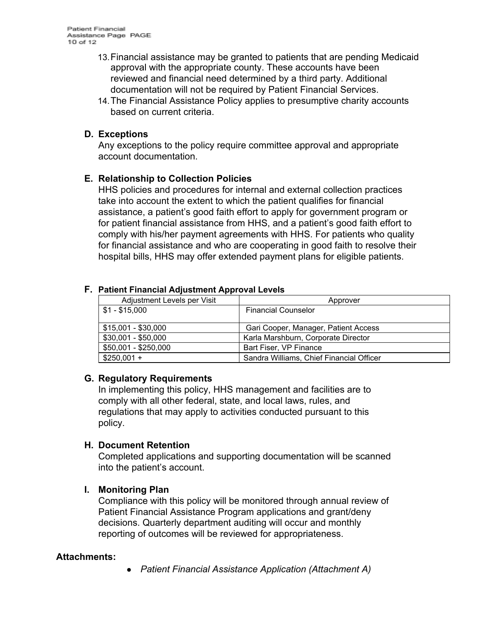- 13.Financial assistance may be granted to patients that are pending Medicaid approval with the appropriate county. These accounts have been reviewed and financial need determined by a third party. Additional documentation will not be required by Patient Financial Services.
- 14.The Financial Assistance Policy applies to presumptive charity accounts based on current criteria.

#### **D. Exceptions**

Any exceptions to the policy require committee approval and appropriate account documentation.

### **E. Relationship to Collection Policies**

HHS policies and procedures for internal and external collection practices take into account the extent to which the patient qualifies for financial assistance, a patient's good faith effort to apply for government program or for patient financial assistance from HHS, and a patient's good faith effort to comply with his/her payment agreements with HHS. For patients who quality for financial assistance and who are cooperating in good faith to resolve their hospital bills, HHS may offer extended payment plans for eligible patients.

| $\sim$ 0.000 $\sim$ 0.000 $\sim$ 0.000 $\sim$ 0.000 $\sim$ 0.000 $\sim$ 0.000 $\sim$ 0.000 $\sim$ |                                          |  |  |  |
|---------------------------------------------------------------------------------------------------|------------------------------------------|--|--|--|
| Adjustment Levels per Visit                                                                       | Approver                                 |  |  |  |
| $$1 - $15,000$                                                                                    | <b>Financial Counselor</b>               |  |  |  |
| $$15,001 - $30,000$                                                                               | Gari Cooper, Manager, Patient Access     |  |  |  |
| $$30,001 - $50,000$                                                                               | Karla Marshburn, Corporate Director      |  |  |  |
| \$50,001 - \$250,000                                                                              | Bart Fiser, VP Finance                   |  |  |  |
| $$250,001 +$                                                                                      | Sandra Williams, Chief Financial Officer |  |  |  |

#### **F. Patient Financial Adjustment Approval Levels**

#### **G. Regulatory Requirements**

In implementing this policy, HHS management and facilities are to comply with all other federal, state, and local laws, rules, and regulations that may apply to activities conducted pursuant to this policy.

#### **H. Document Retention**

Completed applications and supporting documentation will be scanned into the patient's account.

#### **I. Monitoring Plan**

Compliance with this policy will be monitored through annual review of Patient Financial Assistance Program applications and grant/deny decisions. Quarterly department auditing will occur and monthly reporting of outcomes will be reviewed for appropriateness.

#### **Attachments:**

*● Patient Financial Assistance Application (Attachment A)*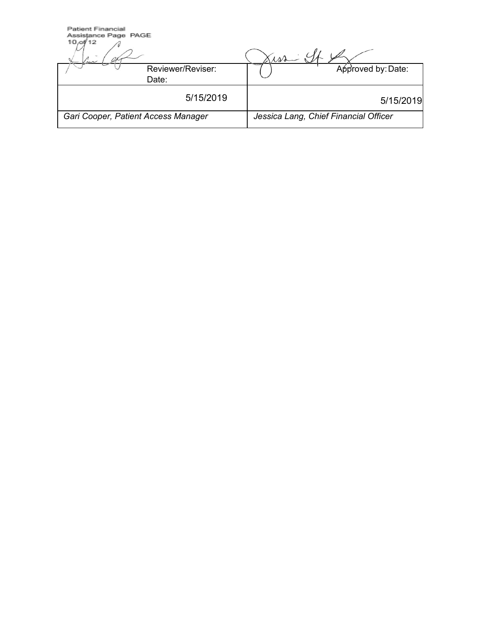| <b>Patient Financial</b><br>Assistance Page PAGE<br>10.0112<br>m | $\mathcal{W}$                         |
|------------------------------------------------------------------|---------------------------------------|
| Reviewer/Reviser:<br>Date:                                       | Approved by: Date:                    |
| 5/15/2019                                                        | 5/15/2019                             |
| Gari Cooper, Patient Access Manager                              | Jessica Lang, Chief Financial Officer |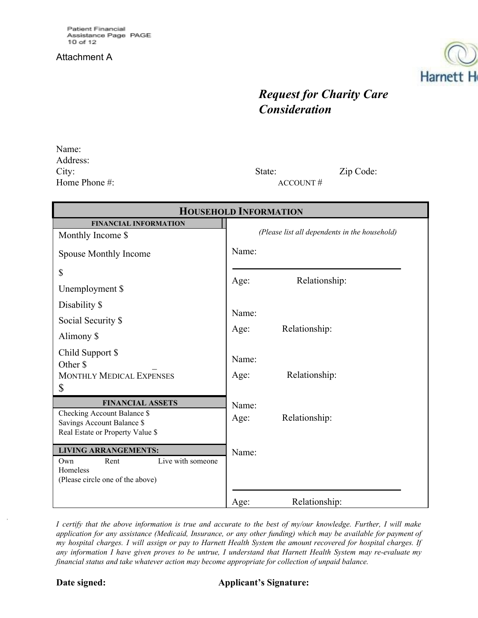#### Attachment A



# *Request for Charity Care Consideration*

Name: Address: City: State: Zip Code: Home Phone #: ACCOUNT #

| <b>HOUSEHOLD INFORMATION</b>                           |                                               |  |  |  |
|--------------------------------------------------------|-----------------------------------------------|--|--|--|
| <b>FINANCIAL INFORMATION</b>                           |                                               |  |  |  |
| Monthly Income \$                                      | (Please list all dependents in the household) |  |  |  |
| Spouse Monthly Income                                  | Name:                                         |  |  |  |
| \$                                                     |                                               |  |  |  |
| Unemployment \$                                        | Relationship:<br>Age:                         |  |  |  |
| Disability \$                                          |                                               |  |  |  |
| Social Security \$                                     | Name:                                         |  |  |  |
| Alimony \$                                             | Relationship:<br>Age:                         |  |  |  |
| Child Support \$                                       | Name:                                         |  |  |  |
| Other \$                                               |                                               |  |  |  |
| <b>MONTHLY MEDICAL EXPENSES</b><br>\$                  | Relationship:<br>Age:                         |  |  |  |
|                                                        |                                               |  |  |  |
| <b>FINANCIAL ASSETS</b><br>Checking Account Balance \$ | Name:                                         |  |  |  |
| Savings Account Balance \$                             | Relationship:<br>Age:                         |  |  |  |
| Real Estate or Property Value \$                       |                                               |  |  |  |
| <b>LIVING ARRANGEMENTS:</b>                            | Name:                                         |  |  |  |
| Live with someone<br>Rent<br>Own                       |                                               |  |  |  |
| Homeless<br>(Please circle one of the above)           |                                               |  |  |  |
|                                                        |                                               |  |  |  |
|                                                        | Relationship:<br>Age:                         |  |  |  |

I certify that the above information is true and accurate to the best of my/our knowledge. Further, I will make application for any assistance (Medicaid, Insurance, or any other funding) which may be available for payment of my hospital charges. I will assign or pay to Harnett Health System the amount recovered for hospital charges. If any information I have given proves to be untrue, I understand that Harnett Health System may re-evaluate my *financial status and take whatever action may become appropriate for collection of unpaid balance.*

#### **Date signed: Applicant's Signature:**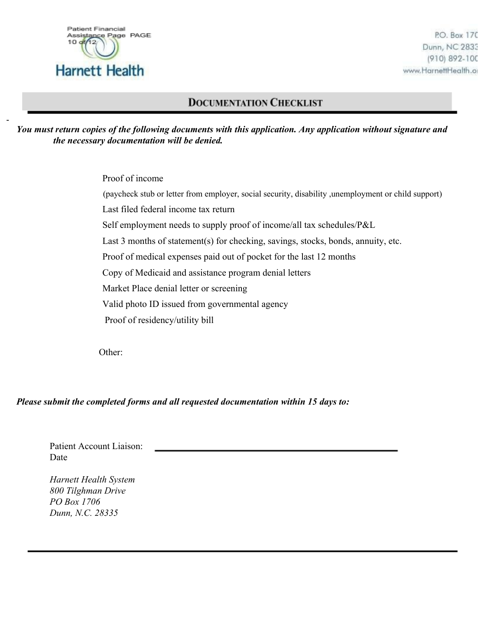

P.O. Box 170 Dunn, NC 2833 (910) 892-100 www.HarnettHealth.o

# **DOCUMENTATION CHECKLIST**

*You must return copies of the following documents with this application. Any application without signature and the necessary documentation will be denied.*

> Proof of income (paycheck stub or letter from employer, social security, disability ,unemployment or child support) Last filed federal income tax return Self employment needs to supply proof of income/all tax schedules/P&L Last 3 months of statement(s) for checking, savings, stocks, bonds, annuity, etc. Proof of medical expenses paid out of pocket for the last 12 months Copy of Medicaid and assistance program denial letters Market Place denial letter or screening Valid photo ID issued from governmental agency Proof of residency/utility bill

Other:

*Please submit the completed forms and all requested documentation within 15 days to:*

Patient Account Liaison: Date

*Harnett Health System 800 Tilghman Drive PO Box 1706 Dunn, N.C. 28335*